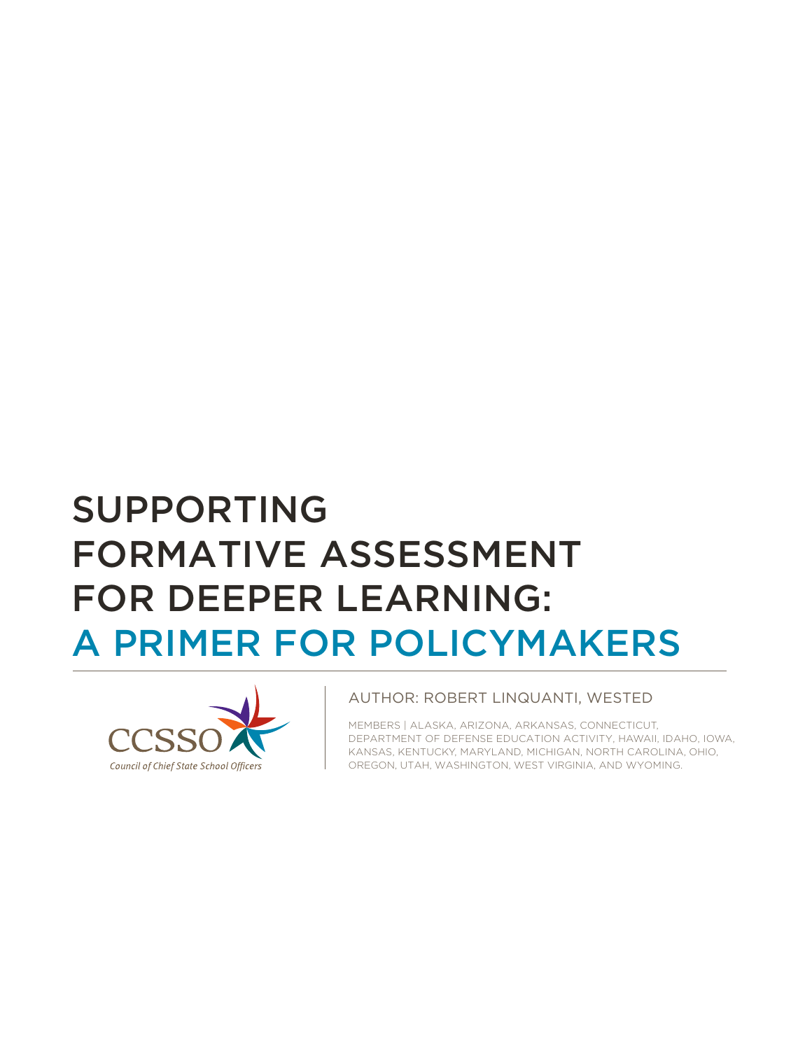# SUPPORTING FORMATIVE ASSESSMENT FOR DEEPER LEARNING: A PRIMER FOR POLICYMAKERS



#### AUTHOR: ROBERT LINQUANTI, WESTED

MEMBERS | ALASKA, ARIZONA, ARKANSAS, CONNECTICUT, DEPARTMENT OF DEFENSE EDUCATION ACTIVITY, HAWAII, IDAHO, IOWA, KANSAS, KENTUCKY, MARYLAND, MICHIGAN, NORTH CAROLINA, OHIO, OREGON, UTAH, WASHINGTON, WEST VIRGINIA, AND WYOMING.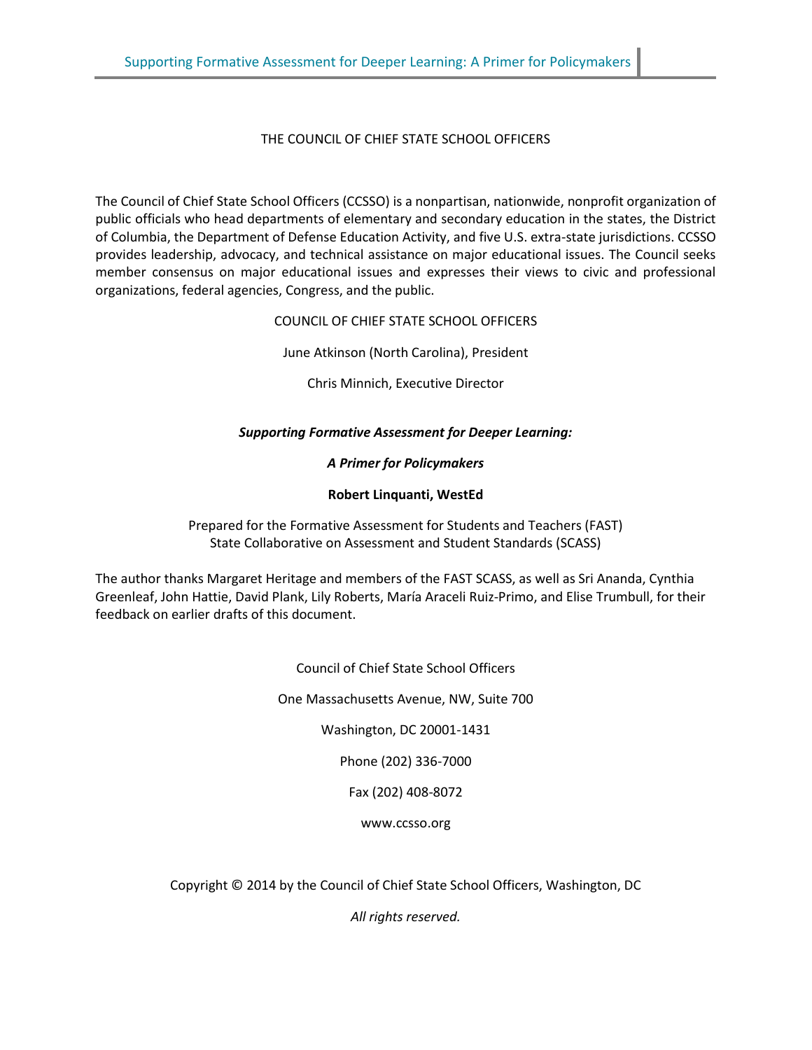THE COUNCIL OF CHIEF STATE SCHOOL OFFICERS

The Council of Chief State School Officers (CCSSO) is a nonpartisan, nationwide, nonprofit organization of public officials who head departments of elementary and secondary education in the states, the District of Columbia, the Department of Defense Education Activity, and five U.S. extra-state jurisdictions. CCSSO provides leadership, advocacy, and technical assistance on major educational issues. The Council seeks member consensus on major educational issues and expresses their views to civic and professional organizations, federal agencies, Congress, and the public.

COUNCIL OF CHIEF STATE SCHOOL OFFICERS

June Atkinson (North Carolina), President

Chris Minnich, Executive Director

#### *Supporting Formative Assessment for Deeper Learning:*

*A Primer for Policymakers* 

#### **Robert Linquanti, WestEd**

Prepared for the Formative Assessment for Students and Teachers (FAST) State Collaborative on Assessment and Student Standards (SCASS)

The author thanks Margaret Heritage and members of the FAST SCASS, as well as Sri Ananda, Cynthia Greenleaf, John Hattie, David Plank, Lily Roberts, María Araceli Ruiz-Primo, and Elise Trumbull, for their feedback on earlier drafts of this document.

> Council of Chief State School Officers One Massachusetts Avenue, NW, Suite 700 Washington, DC 20001-1431 Phone (202) 336-7000 Fax (202) 408-8072

Copyright © 2014 by the Council of Chief State School Officers, Washington, DC

www.ccsso.org

*All rights reserved.*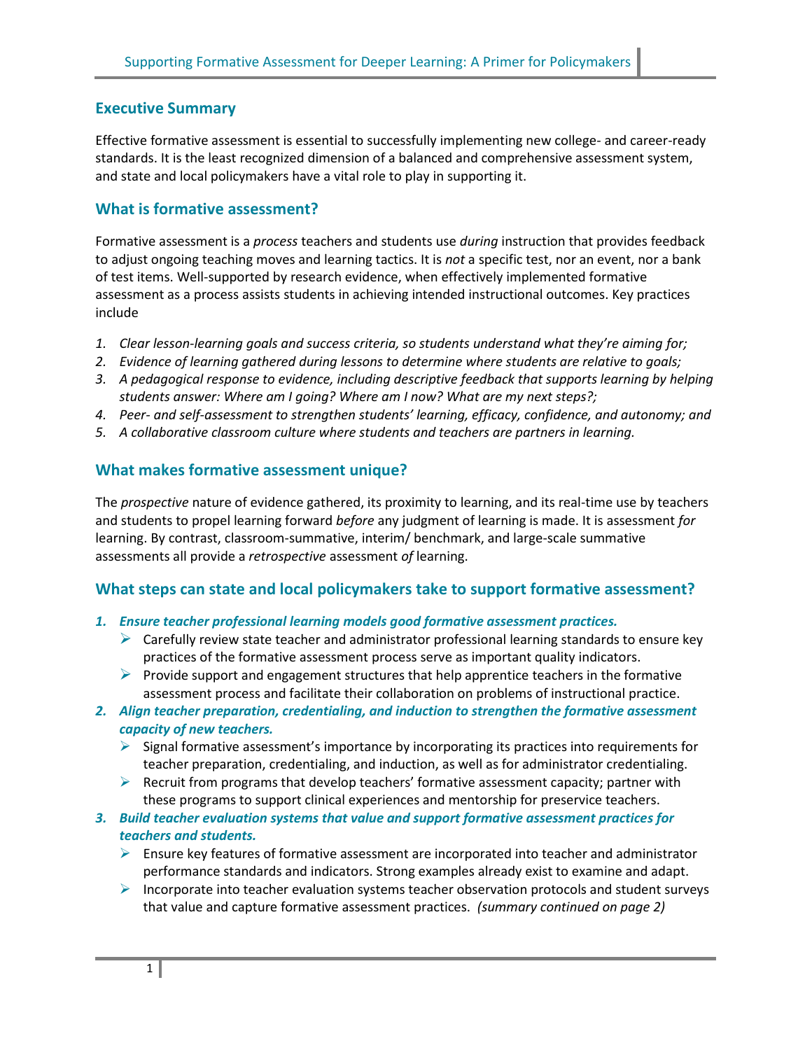# **Executive Summary**

Effective formative assessment is essential to successfully implementing new college- and career-ready standards. It is the least recognized dimension of a balanced and comprehensive assessment system, and state and local policymakers have a vital role to play in supporting it.

# **What is formative assessment?**

Formative assessment is a *process* teachers and students use *during* instruction that provides feedback to adjust ongoing teaching moves and learning tactics. It is *not* a specific test, nor an event, nor a bank of test items. Well-supported by research evidence, when effectively implemented formative assessment as a process assists students in achieving intended instructional outcomes. Key practices include

- 1. Clear lesson-learning goals and success criteria, so students understand what they're aiming for;
- *2. Evidence of learning gathered during lessons to determine where students are relative to goals;*
- *3. A pedagogical response to evidence, including descriptive feedback that supports learning by helping students answer: Where am I going? Where am I now? What are my next steps?;*
- *4. Peer- and self-assessment to strengthen students' learning, efficacy, confidence, and autonomy; and*
- *5. A collaborative classroom culture where students and teachers are partners in learning.*

# **What makes formative assessment unique?**

The *prospective* nature of evidence gathered, its proximity to learning, and its real-time use by teachers and students to propel learning forward *before* any judgment of learning is made. It is assessment *for* learning. By contrast, classroom-summative, interim/ benchmark, and large-scale summative assessments all provide a *retrospective* assessment *of* learning.

#### **What steps can state and local policymakers take to support formative assessment?**

- *1. Ensure teacher professional learning models good formative assessment practices.* 
	- $\triangleright$  Carefully review state teacher and administrator professional learning standards to ensure key practices of the formative assessment process serve as important quality indicators.
	- **Provide support and engagement structures that help apprentice teachers in the formative** assessment process and facilitate their collaboration on problems of instructional practice.
- *2. Align teacher preparation, credentialing, and induction to strengthen the formative assessment capacity of new teachers.* 
	- $\triangleright$  Signal formative assessment's importance by incorporating its practices into requirements for teacher preparation, credentialing, and induction, as well as for administrator credentialing.
	- $\triangleright$  Recruit from programs that develop teachers' formative assessment capacity; partner with these programs to support clinical experiences and mentorship for preservice teachers.
- *3. Build teacher evaluation systems that value and support formative assessment practices for teachers and students.* 
	- $\triangleright$  Ensure key features of formative assessment are incorporated into teacher and administrator performance standards and indicators. Strong examples already exist to examine and adapt.
	- $\triangleright$  Incorporate into teacher evaluation systems teacher observation protocols and student surveys that value and capture formative assessment practices. *(summary continued on page 2)*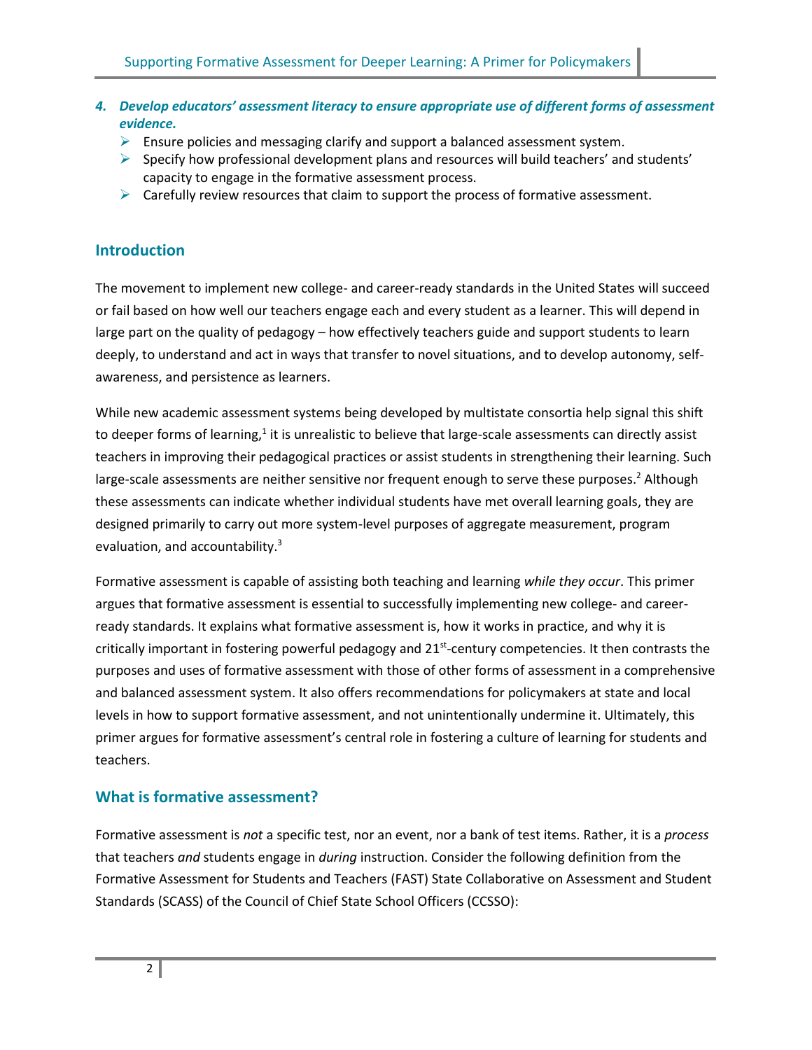- *4. Develop educators' assessment literacy to ensure appropriate use of different forms of assessment evidence.* 
	- $\triangleright$  Ensure policies and messaging clarify and support a balanced assessment system.
	- $\triangleright$  Specify how professional development plans and resources will build teachers' and students' capacity to engage in the formative assessment process.
	- $\triangleright$  Carefully review resources that claim to support the process of formative assessment.

## **Introduction**

The movement to implement new college- and career-ready standards in the United States will succeed or fail based on how well our teachers engage each and every student as a learner. This will depend in large part on the quality of pedagogy – how effectively teachers guide and support students to learn deeply, to understand and act in ways that transfer to novel situations, and to develop autonomy, selfawareness, and persistence as learners.

While new academic assessment systems being developed by multistate consortia help signal this shift to deeper forms of learning,<sup>1</sup> it is unrealistic to believe that large-scale assessments can directly assist teachers in improving their pedagogical practices or assist students in strengthening their learning. Such large-scale assessments are neither sensitive nor frequent enough to serve these purposes.<sup>2</sup> Although these assessments can indicate whether individual students have met overall learning goals, they are designed primarily to carry out more system-level purposes of aggregate measurement, program evaluation, and accountability.<sup>3</sup>

Formative assessment is capable of assisting both teaching and learning *while they occur*. This primer argues that formative assessment is essential to successfully implementing new college- and careerready standards. It explains what formative assessment is, how it works in practice, and why it is critically important in fostering powerful pedagogy and 21<sup>st</sup>-century competencies. It then contrasts the purposes and uses of formative assessment with those of other forms of assessment in a comprehensive and balanced assessment system. It also offers recommendations for policymakers at state and local levels in how to support formative assessment, and not unintentionally undermine it. Ultimately, this primer argues for formative assessment's central role in fostering a culture of learning for students and teachers.

# **What is formative assessment?**

Formative assessment is *not* a specific test, nor an event, nor a bank of test items. Rather, it is a *process* that teachers *and* students engage in *during* instruction. Consider the following definition from the Formative Assessment for Students and Teachers (FAST) State Collaborative on Assessment and Student Standards (SCASS) of the Council of Chief State School Officers (CCSSO):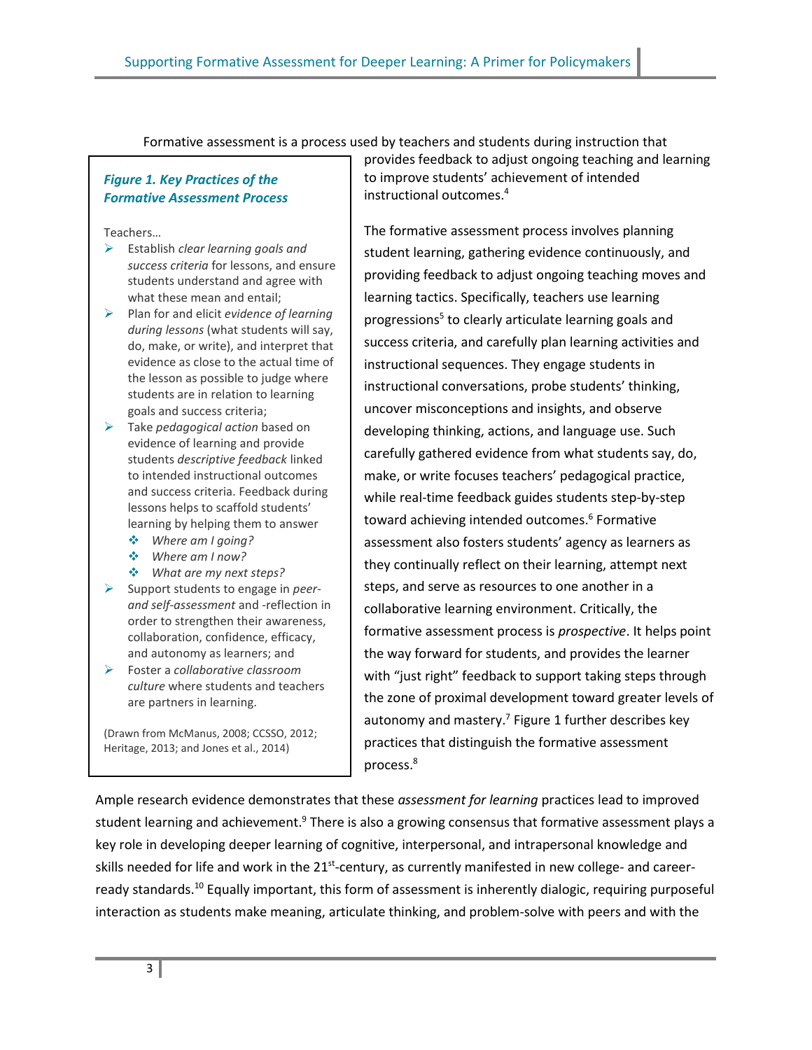Formative assessment is a process used by teachers and students during instruction that

#### *Figure 1. Key Practices of the Formative Assessment Process*

Teachers…

- Establish *clear learning goals and success criteria* for lessons, and ensure students understand and agree with what these mean and entail;
- Plan for and elicit *evidence of learning during lessons* (what students will say, do, make, or write), and interpret that evidence as close to the actual time of the lesson as possible to judge where students are in relation to learning goals and success criteria;
- Take *pedagogical action* based on evidence of learning and provide students *descriptive feedback* linked to intended instructional outcomes and success criteria. Feedback during lessons helps to scaffold students' learning by helping them to answer
	- *Where am I going?*
	- *Where am I now?*
	- *What are my next steps?*
- Support students to engage in *peerand self-assessment* and -reflection in order to strengthen their awareness, collaboration, confidence, efficacy, and autonomy as learners; and
- Foster a *collaborative classroom culture* where students and teachers are partners in learning.

(Drawn from McManus, 2008; CCSSO, 2012; Heritage, 2013; and Jones et al., 2014)

provides feedback to adjust ongoing teaching and learning to improve students' achievement of intended instructional outcomes.<sup>4</sup>

The formative assessment process involves planning student learning, gathering evidence continuously, and providing feedback to adjust ongoing teaching moves and learning tactics. Specifically, teachers use learning progressions<sup>5</sup> to clearly articulate learning goals and success criteria, and carefully plan learning activities and instructional sequences. They engage students in instructional conversations, probe students' thinking, uncover misconceptions and insights, and observe developing thinking, actions, and language use. Such carefully gathered evidence from what students say, do, make, or write focuses teachers' pedagogical practice, while real-time feedback guides students step-by-step toward achieving intended outcomes.<sup>6</sup> Formative assessment also fosters students' agency as learners as they continually reflect on their learning, attempt next steps, and serve as resources to one another in a collaborative learning environment. Critically, the formative assessment process is *prospective*. It helps point the way forward for students, and provides the learner with "just right" feedback to support taking steps through the zone of proximal development toward greater levels of autonomy and mastery.<sup>7</sup> Figure 1 further describes key practices that distinguish the formative assessment process.<sup>8</sup>

Ample research evidence demonstrates that these *assessment for learning* practices lead to improved student learning and achievement.<sup>9</sup> There is also a growing consensus that formative assessment plays a key role in developing deeper learning of cognitive, interpersonal, and intrapersonal knowledge and skills needed for life and work in the 21<sup>st</sup>-century, as currently manifested in new college- and careerready standards.<sup>10</sup> Equally important, this form of assessment is inherently dialogic, requiring purposeful interaction as students make meaning, articulate thinking, and problem-solve with peers and with the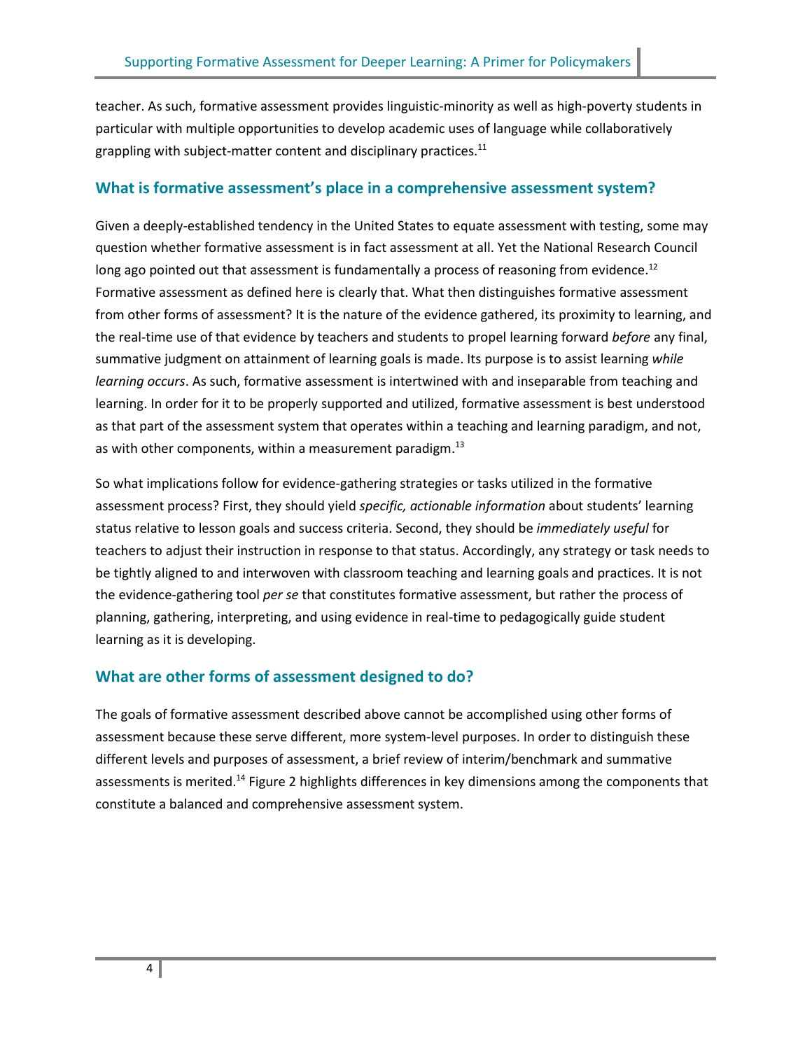teacher. As such, formative assessment provides linguistic-minority as well as high-poverty students in particular with multiple opportunities to develop academic uses of language while collaboratively grappling with subject-matter content and disciplinary practices. $^{11}$ 

#### **What is formative assessment's place in a comprehensive assessment system?**

Given a deeply-established tendency in the United States to equate assessment with testing, some may question whether formative assessment is in fact assessment at all. Yet the National Research Council long ago pointed out that assessment is fundamentally a process of reasoning from evidence.<sup>12</sup> Formative assessment as defined here is clearly that. What then distinguishes formative assessment from other forms of assessment? It is the nature of the evidence gathered, its proximity to learning, and the real-time use of that evidence by teachers and students to propel learning forward *before* any final, summative judgment on attainment of learning goals is made. Its purpose is to assist learning *while learning occurs*. As such, formative assessment is intertwined with and inseparable from teaching and learning. In order for it to be properly supported and utilized, formative assessment is best understood as that part of the assessment system that operates within a teaching and learning paradigm, and not, as with other components, within a measurement paradigm.<sup>13</sup>

So what implications follow for evidence-gathering strategies or tasks utilized in the formative assessment process? First, they should yield *specific, actionable information* about students' learning status relative to lesson goals and success criteria. Second, they should be *immediately useful* for teachers to adjust their instruction in response to that status. Accordingly, any strategy or task needs to be tightly aligned to and interwoven with classroom teaching and learning goals and practices. It is not the evidence-gathering tool *per se* that constitutes formative assessment, but rather the process of planning, gathering, interpreting, and using evidence in real-time to pedagogically guide student learning as it is developing.

#### **What are other forms of assessment designed to do?**

The goals of formative assessment described above cannot be accomplished using other forms of assessment because these serve different, more system-level purposes. In order to distinguish these different levels and purposes of assessment, a brief review of interim/benchmark and summative assessments is merited.<sup>14</sup> Figure 2 highlights differences in key dimensions among the components that constitute a balanced and comprehensive assessment system.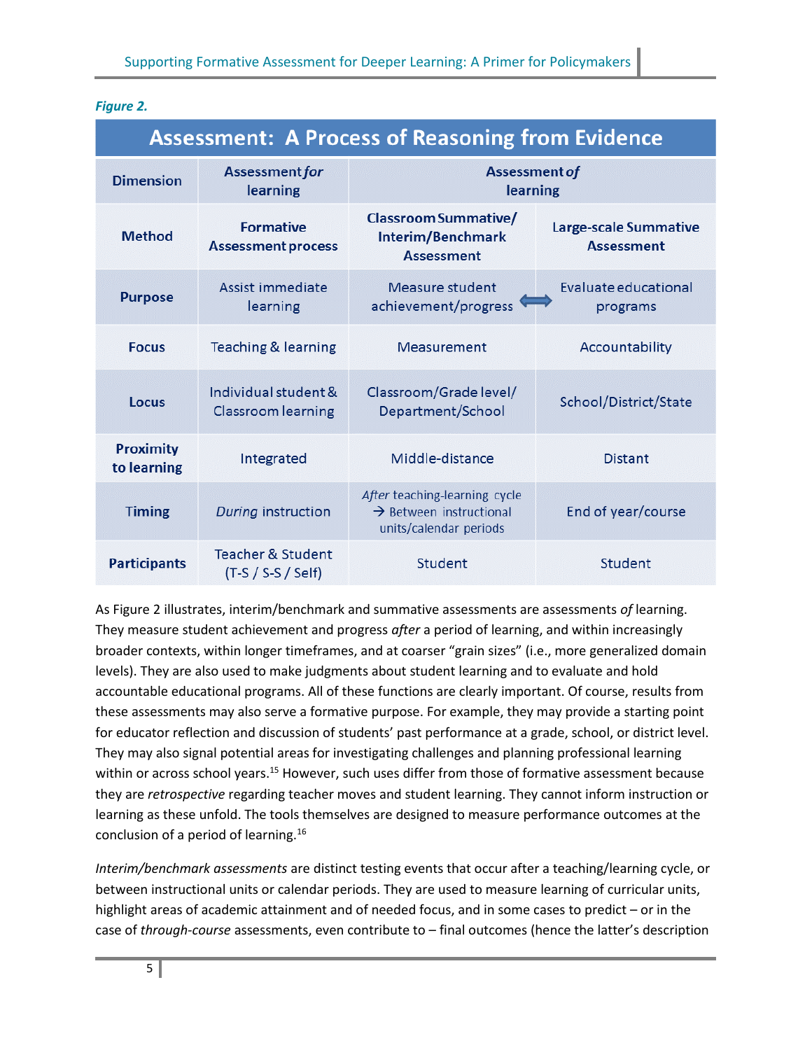#### *Figure 2.*

| <b>Assessment: A Process of Reasoning from Evidence</b> |                                                      |                                                                                                |                                            |
|---------------------------------------------------------|------------------------------------------------------|------------------------------------------------------------------------------------------------|--------------------------------------------|
| <b>Dimension</b>                                        | <b>Assessment for</b><br>learning                    | <b>Assessment of</b><br>learning                                                               |                                            |
| <b>Method</b>                                           | <b>Formative</b><br><b>Assessment process</b>        | <b>Classroom Summative/</b><br>Interim/Benchmark<br><b>Assessment</b>                          | Large-scale Summative<br><b>Assessment</b> |
| <b>Purpose</b>                                          | Assist immediate<br>learning                         | Measure student<br>achievement/progress                                                        | Evaluate educational<br>programs           |
| <b>Focus</b>                                            | <b>Teaching &amp; learning</b>                       | Measurement                                                                                    | Accountability                             |
| Locus                                                   | Individual student &<br><b>Classroom learning</b>    | Classroom/Grade level/<br>Department/School                                                    | School/District/State                      |
| <b>Proximity</b><br>to learning                         | Integrated                                           | Middle-distance                                                                                | <b>Distant</b>                             |
| <b>Timing</b>                                           | During instruction                                   | After teaching-learning cycle<br>$\rightarrow$ Between instructional<br>units/calendar periods | End of year/course                         |
| <b>Participants</b>                                     | <b>Teacher &amp; Student</b><br>$(T-S / S-S / Self)$ | Student                                                                                        | Student                                    |

As Figure 2 illustrates, interim/benchmark and summative assessments are assessments *of* learning. They measure student achievement and progress *after* a period of learning, and within increasingly broader contexts, within longer timeframes, and at coarser "grain sizes" (i.e., more generalized domain levels). They are also used to make judgments about student learning and to evaluate and hold accountable educational programs. All of these functions are clearly important. Of course, results from these assessments may also serve a formative purpose. For example, they may provide a starting point for educator reflection and discussion of students' past performance at a grade, school, or district level. They may also signal potential areas for investigating challenges and planning professional learning within or across school years.<sup>15</sup> However, such uses differ from those of formative assessment because they are *retrospective* regarding teacher moves and student learning. They cannot inform instruction or learning as these unfold. The tools themselves are designed to measure performance outcomes at the conclusion of a period of learning.<sup>16</sup>

*Interim/benchmark assessments* are distinct testing events that occur after a teaching/learning cycle, or between instructional units or calendar periods. They are used to measure learning of curricular units, highlight areas of academic attainment and of needed focus, and in some cases to predict – or in the case of *through-course* assessments, even contribute to – final outcomes (hence the latter's description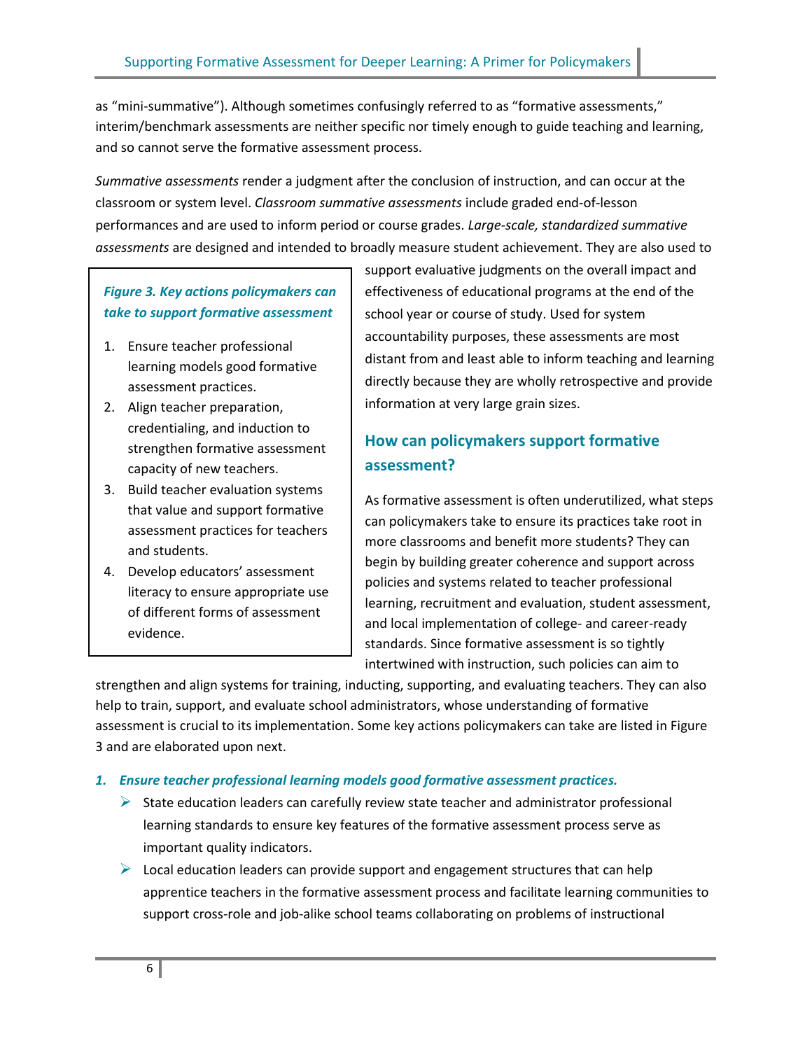as "mini-summative"). Although sometimes confusingly referred to as "formative assessments," interim/benchmark assessments are neither specific nor timely enough to guide teaching and learning, and so cannot serve the formative assessment process.

*Summative assessments* render a judgment after the conclusion of instruction, and can occur at the classroom or system level. *Classroom summative assessments* include graded end-of-lesson performances and are used to inform period or course grades. *Large-scale, standardized summative assessments* are designed and intended to broadly measure student achievement. They are also used to

# *Figure 3. Key actions policymakers can take to support formative assessment*

- 1. Ensure teacher professional learning models good formative assessment practices.
- 2. Align teacher preparation, credentialing, and induction to strengthen formative assessment capacity of new teachers.
- 3. Build teacher evaluation systems that value and support formative assessment practices for teachers and students.
- 4. Develop educators' assessment literacy to ensure appropriate use of different forms of assessment evidence.

support evaluative judgments on the overall impact and effectiveness of educational programs at the end of the school year or course of study. Used for system accountability purposes, these assessments are most distant from and least able to inform teaching and learning directly because they are wholly retrospective and provide information at very large grain sizes.

# **How can policymakers support formative assessment?**

As formative assessment is often underutilized, what steps can policymakers take to ensure its practices take root in more classrooms and benefit more students? They can begin by building greater coherence and support across policies and systems related to teacher professional learning, recruitment and evaluation, student assessment, and local implementation of college- and career-ready standards. Since formative assessment is so tightly intertwined with instruction, such policies can aim to

strengthen and align systems for training, inducting, supporting, and evaluating teachers. They can also help to train, support, and evaluate school administrators, whose understanding of formative assessment is crucial to its implementation. Some key actions policymakers can take are listed in Figure 3 and are elaborated upon next.

#### *1. Ensure teacher professional learning models good formative assessment practices.*

- $\triangleright$  State education leaders can carefully review state teacher and administrator professional learning standards to ensure key features of the formative assessment process serve as important quality indicators.
- $\triangleright$  Local education leaders can provide support and engagement structures that can help apprentice teachers in the formative assessment process and facilitate learning communities to support cross-role and job-alike school teams collaborating on problems of instructional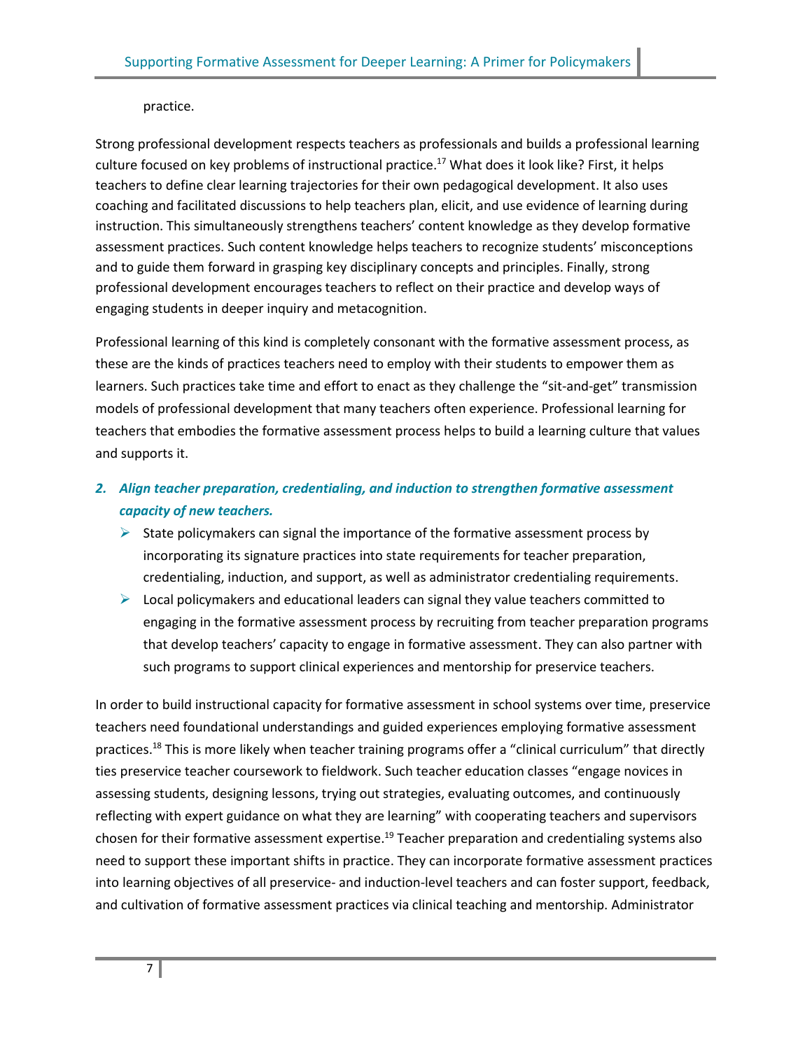#### practice.

Strong professional development respects teachers as professionals and builds a professional learning culture focused on key problems of instructional practice.<sup>17</sup> What does it look like? First, it helps teachers to define clear learning trajectories for their own pedagogical development. It also uses coaching and facilitated discussions to help teachers plan, elicit, and use evidence of learning during instruction. This simultaneously strengthens teachers' content knowledge as they develop formative assessment practices. Such content knowledge helps teachers to recognize students' misconceptions and to guide them forward in grasping key disciplinary concepts and principles. Finally, strong professional development encourages teachers to reflect on their practice and develop ways of engaging students in deeper inquiry and metacognition.

Professional learning of this kind is completely consonant with the formative assessment process, as these are the kinds of practices teachers need to employ with their students to empower them as learners. Such practices take time and effort to enact as they challenge the "sit-and-get" transmission models of professional development that many teachers often experience. Professional learning for teachers that embodies the formative assessment process helps to build a learning culture that values and supports it.

- *2. Align teacher preparation, credentialing, and induction to strengthen formative assessment capacity of new teachers.* 
	- $\triangleright$  State policymakers can signal the importance of the formative assessment process by incorporating its signature practices into state requirements for teacher preparation, credentialing, induction, and support, as well as administrator credentialing requirements.
	- $\triangleright$  Local policymakers and educational leaders can signal they value teachers committed to engaging in the formative assessment process by recruiting from teacher preparation programs that develop teachers' capacity to engage in formative assessment. They can also partner with such programs to support clinical experiences and mentorship for preservice teachers.

In order to build instructional capacity for formative assessment in school systems over time, preservice teachers need foundational understandings and guided experiences employing formative assessment practices.<sup>18</sup> This is more likely when teacher training programs offer a "clinical curriculum" that directly ties preservice teacher coursework to fieldwork. Such teacher education classes "engage novices in assessing students, designing lessons, trying out strategies, evaluating outcomes, and continuously reflecting with expert guidance on what they are learning" with cooperating teachers and supervisors chosen for their formative assessment expertise.<sup>19</sup> Teacher preparation and credentialing systems also need to support these important shifts in practice. They can incorporate formative assessment practices into learning objectives of all preservice- and induction-level teachers and can foster support, feedback, and cultivation of formative assessment practices via clinical teaching and mentorship. Administrator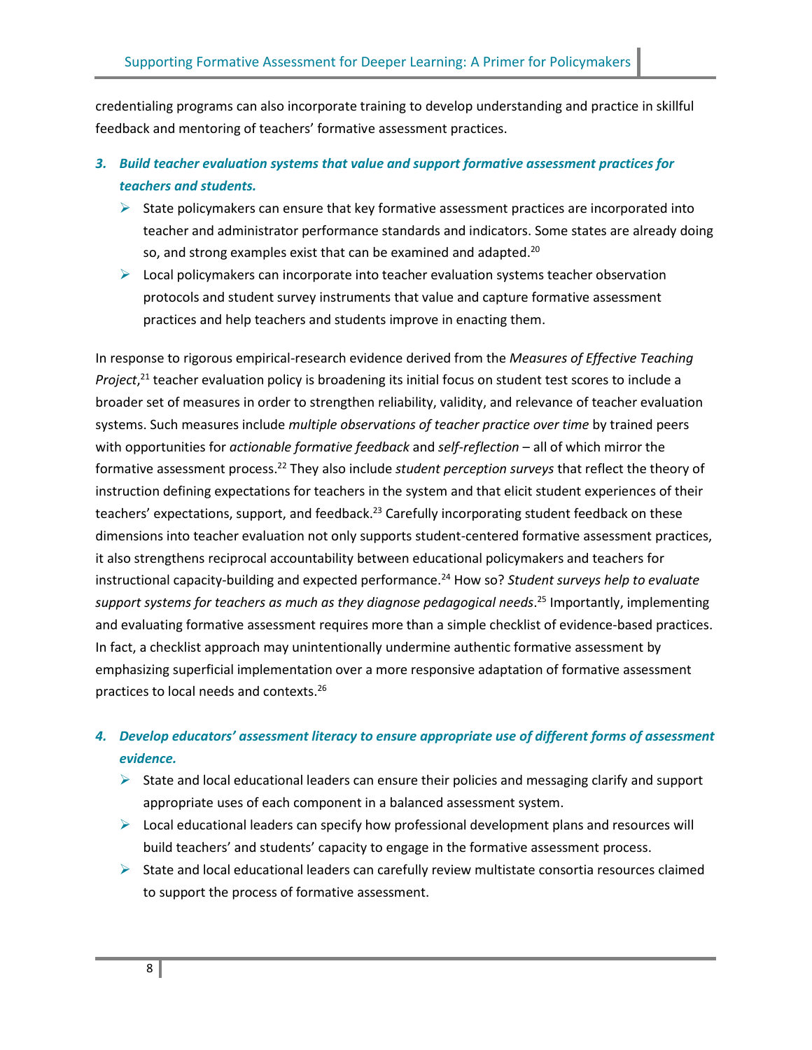credentialing programs can also incorporate training to develop understanding and practice in skillful feedback and mentoring of teachers' formative assessment practices.

- *3. Build teacher evaluation systems that value and support formative assessment practices for teachers and students.*
	- $\triangleright$  State policymakers can ensure that key formative assessment practices are incorporated into teacher and administrator performance standards and indicators. Some states are already doing so, and strong examples exist that can be examined and adapted.<sup>20</sup>
	- $\triangleright$  Local policymakers can incorporate into teacher evaluation systems teacher observation protocols and student survey instruments that value and capture formative assessment practices and help teachers and students improve in enacting them.

In response to rigorous empirical-research evidence derived from the *Measures of Effective Teaching Project*, <sup>21</sup> teacher evaluation policy is broadening its initial focus on student test scores to include a broader set of measures in order to strengthen reliability, validity, and relevance of teacher evaluation systems. Such measures include *multiple observations of teacher practice over time* by trained peers with opportunities for *actionable formative feedback* and *self-reflection* – all of which mirror the formative assessment process. <sup>22</sup> They also include *student perception surveys* that reflect the theory of instruction defining expectations for teachers in the system and that elicit student experiences of their teachers' expectations, support, and feedback.<sup>23</sup> Carefully incorporating student feedback on these dimensions into teacher evaluation not only supports student-centered formative assessment practices, it also strengthens reciprocal accountability between educational policymakers and teachers for instructional capacity-building and expected performance.<sup>24</sup> How so? *Student surveys help to evaluate support systems for teachers as much as they diagnose pedagogical needs*. <sup>25</sup> Importantly, implementing and evaluating formative assessment requires more than a simple checklist of evidence-based practices. In fact, a checklist approach may unintentionally undermine authentic formative assessment by emphasizing superficial implementation over a more responsive adaptation of formative assessment practices to local needs and contexts.<sup>26</sup>

# *4. Develop educators' assessment literacy to ensure appropriate use of different forms of assessment evidence.*

- $\triangleright$  State and local educational leaders can ensure their policies and messaging clarify and support appropriate uses of each component in a balanced assessment system.
- $\triangleright$  Local educational leaders can specify how professional development plans and resources will build teachers' and students' capacity to engage in the formative assessment process.
- $\triangleright$  State and local educational leaders can carefully review multistate consortia resources claimed to support the process of formative assessment.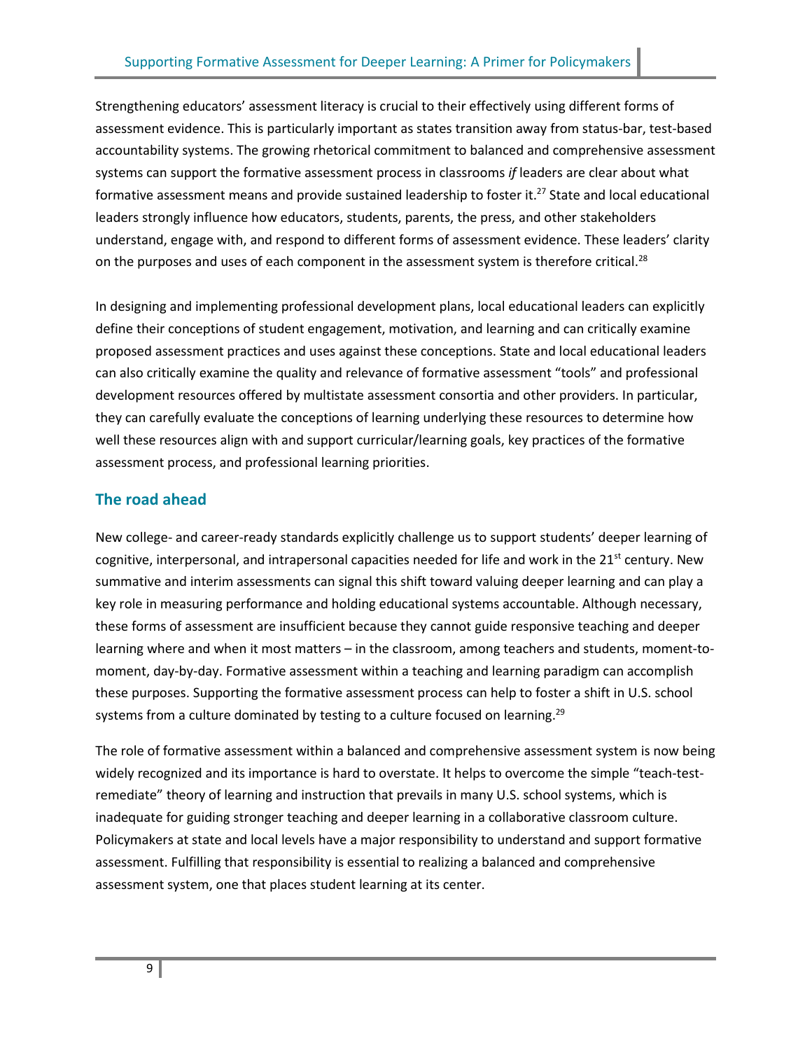Strengthening educators' assessment literacy is crucial to their effectively using different forms of assessment evidence. This is particularly important as states transition away from status-bar, test-based accountability systems. The growing rhetorical commitment to balanced and comprehensive assessment systems can support the formative assessment process in classrooms *if* leaders are clear about what formative assessment means and provide sustained leadership to foster it.<sup>27</sup> State and local educational leaders strongly influence how educators, students, parents, the press, and other stakeholders understand, engage with, and respond to different forms of assessment evidence. These leaders' clarity on the purposes and uses of each component in the assessment system is therefore critical.<sup>28</sup>

In designing and implementing professional development plans, local educational leaders can explicitly define their conceptions of student engagement, motivation, and learning and can critically examine proposed assessment practices and uses against these conceptions. State and local educational leaders can also critically examine the quality and relevance of formative assessment "tools" and professional development resources offered by multistate assessment consortia and other providers. In particular, they can carefully evaluate the conceptions of learning underlying these resources to determine how well these resources align with and support curricular/learning goals, key practices of the formative assessment process, and professional learning priorities.

# **The road ahead**

New college- and career-ready standards explicitly challenge us to support students' deeper learning of cognitive, interpersonal, and intrapersonal capacities needed for life and work in the  $21<sup>st</sup>$  century. New summative and interim assessments can signal this shift toward valuing deeper learning and can play a key role in measuring performance and holding educational systems accountable. Although necessary, these forms of assessment are insufficient because they cannot guide responsive teaching and deeper learning where and when it most matters – in the classroom, among teachers and students, moment-tomoment, day-by-day. Formative assessment within a teaching and learning paradigm can accomplish these purposes. Supporting the formative assessment process can help to foster a shift in U.S. school systems from a culture dominated by testing to a culture focused on learning.<sup>29</sup>

The role of formative assessment within a balanced and comprehensive assessment system is now being widely recognized and its importance is hard to overstate. It helps to overcome the simple "teach-testremediate" theory of learning and instruction that prevails in many U.S. school systems, which is inadequate for guiding stronger teaching and deeper learning in a collaborative classroom culture. Policymakers at state and local levels have a major responsibility to understand and support formative assessment. Fulfilling that responsibility is essential to realizing a balanced and comprehensive assessment system, one that places student learning at its center.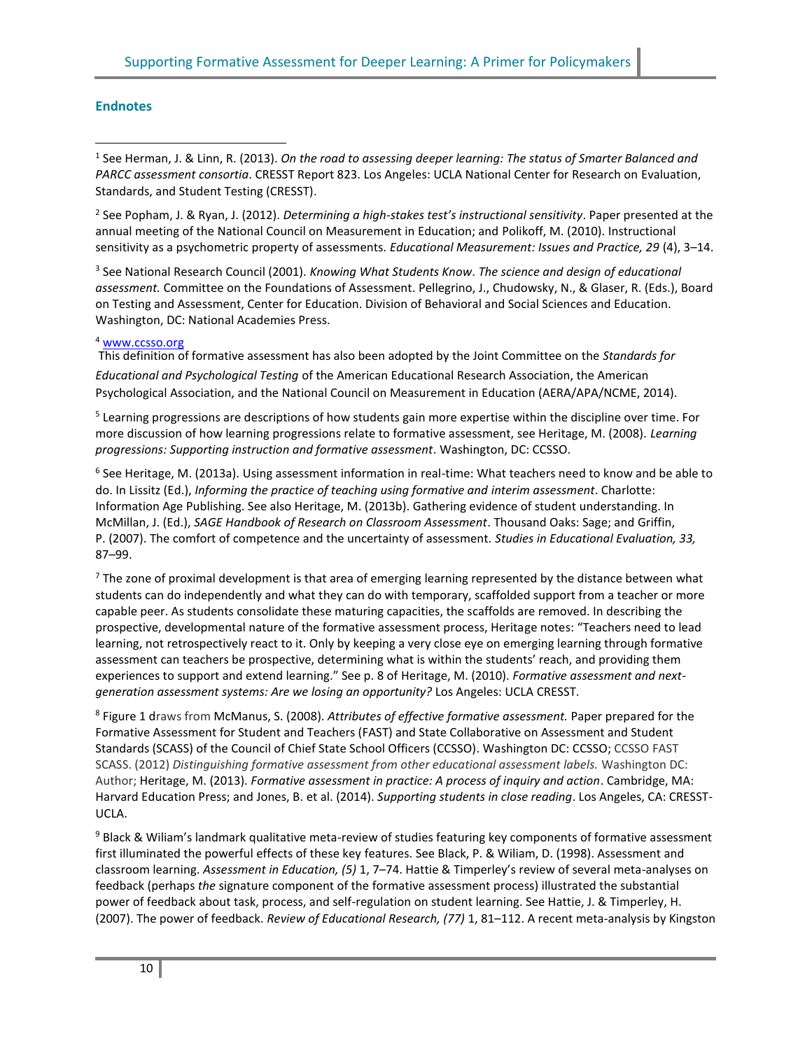#### **Endnotes**

1 See Herman, J. & Linn, R. (2013). *On the road to assessing deeper learning: The status of Smarter Balanced and PARCC assessment consortia*. CRESST Report 823. Los Angeles: UCLA National Center for Research on Evaluation, Standards, and Student Testing (CRESST).

2 See Popham, J. & Ryan, J. (2012). *Determining a high-stakes test's instructional sensitivity*. Paper presented at the annual meeting of the National Council on Measurement in Education; and Polikoff, M. (2010). Instructional sensitivity as a psychometric property of assessments. *Educational Measurement: Issues and Practice, 29* (4), 3–14.

3 See National Research Council (2001). *Knowing What Students Know*. *The science and design of educational assessment.* Committee on the Foundations of Assessment. Pellegrino, J., Chudowsky, N., & Glaser, R. (Eds.), Board on Testing and Assessment, Center for Education. Division of Behavioral and Social Sciences and Education. Washington, DC: National Academies Press.

#### <sup>4</sup> www.ccsso.org

[This definition of formative assessment has also been adopted by the Joint Committee on the](http://www.ccsso.org) *Standards for Educational and Psychological Testing* of the American Educational Research Association, the American Psychological Association, and the National Council on Measurement in Education (AERA/APA/NCME, 2014).

<sup>5</sup> Learning progressions are descriptions of how students gain more expertise within the discipline over time. For more discussion of how learning progressions relate to formative assessment, see Heritage, M. (2008). *Learning progressions: Supporting instruction and formative assessment*. Washington, DC: CCSSO.

6 See Heritage, M. (2013a). Using assessment information in real-time: What teachers need to know and be able to do. In Lissitz (Ed.), *Informing the practice of teaching using formative and interim assessment*. Charlotte: Information Age Publishing. See also Heritage, M. (2013b). Gathering evidence of student understanding. In McMillan, J. (Ed.), *SAGE Handbook of Research on Classroom Assessment*. Thousand Oaks: Sage; and Griffin, P. (2007). The comfort of competence and the uncertainty of assessment. *Studies in Educational Evaluation, 33,*  87–99.

 $^7$  The zone of proximal development is that area of emerging learning represented by the distance between what students can do independently and what they can do with temporary, scaffolded support from a teacher or more capable peer. As students consolidate these maturing capacities, the scaffolds are removed. In describing the prospective, developmental nature of the formative assessment process, Heritage notes: "Teachers need to lead learning, not retrospectively react to it. Only by keeping a very close eye on emerging learning through formative assessment can teachers be prospective, determining what is within the students' reach, and providing them experiences to support and extend learning." See p. 8 of Heritage, M. (2010). *Formative assessment and nextgeneration assessment systems: Are we losing an opportunity?* Los Angeles: UCLA CRESST.

8 Figure 1 draws from McManus, S. (2008). *Attributes of effective formative assessment.* Paper prepared for the Formative Assessment for Student and Teachers (FAST) and State Collaborative on Assessment and Student Standards (SCASS) of the Council of Chief State School Officers (CCSSO). Washington DC: CCSSO; CCSSO FAST SCASS. (2012) *Distinguishing formative assessment from other educational assessment labels.* Washington DC: Author; Heritage, M. (2013). *Formative assessment in practice: A process of inquiry and action*. Cambridge, MA: Harvard Education Press; and Jones, B. et al. (2014). *Supporting students in close reading*. Los Angeles, CA: CRESST-UCLA.

<sup>9</sup> Black & Wiliam's landmark qualitative meta-review of studies featuring key components of formative assessment first illuminated the powerful effects of these key features. See Black, P. & Wiliam, D. (1998). Assessment and classroom learning. *Assessment in Education, (5)* 1, 7–74. Hattie & Timperley's review of several meta-analyses on feedback (perhaps *the* signature component of the formative assessment process) illustrated the substantial power of feedback about task, process, and self-regulation on student learning. See Hattie, J. & Timperley, H. (2007). The power of feedback. *Review of Educational Research, (77)* 1, 81–112. A recent meta-analysis by Kingston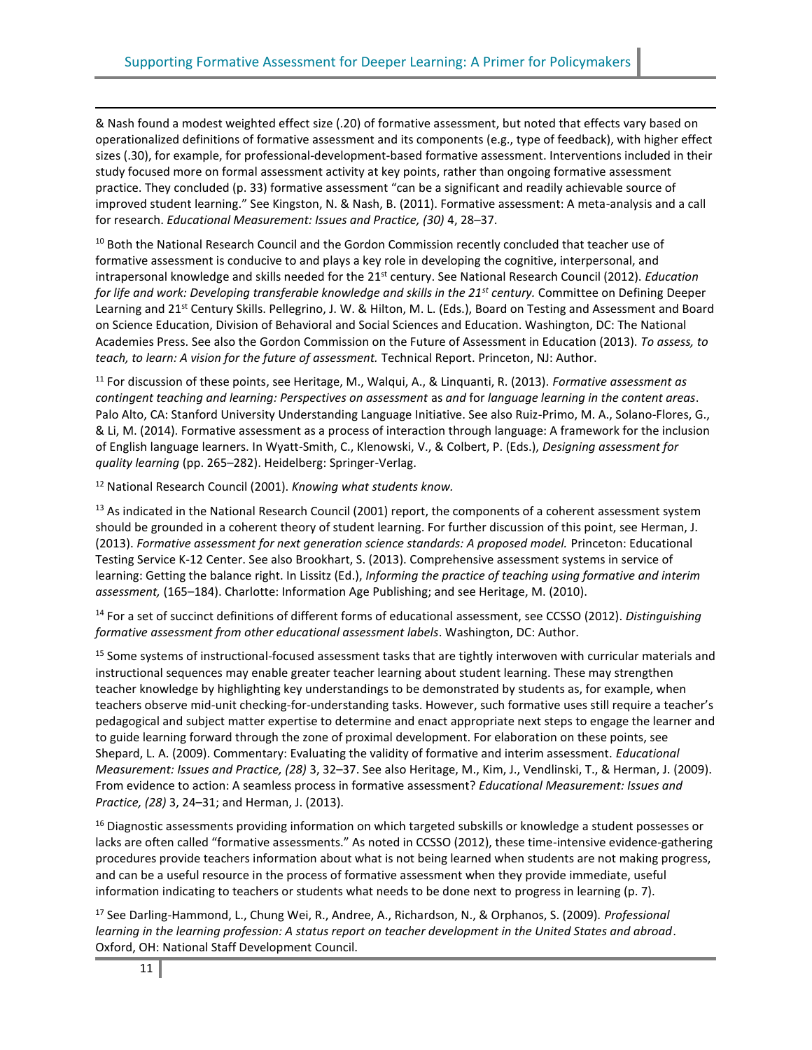& Nash found a modest weighted effect size (.20) of formative assessment, but noted that effects vary based on operationalized definitions of formative assessment and its components (e.g., type of feedback), with higher effect sizes (.30), for example, for professional-development-based formative assessment. Interventions included in their study focused more on formal assessment activity at key points, rather than ongoing formative assessment practice. They concluded (p. 33) formative assessment "can be a significant and readily achievable source of improved student learning." See Kingston, N. & Nash, B. (2011). Formative assessment: A meta-analysis and a call for research. *Educational Measurement: Issues and Practice, (30)* 4, 28–37.

<sup>10</sup> Both the National Research Council and the Gordon Commission recently concluded that teacher use of formative assessment is conducive to and plays a key role in developing the cognitive, interpersonal, and intrapersonal knowledge and skills needed for the 21st century. See National Research Council (2012). *Education for life and work: Developing transferable knowledge and skills in the 21st century.* Committee on Defining Deeper Learning and 21<sup>st</sup> Century Skills. Pellegrino, J. W. & Hilton, M. L. (Eds.), Board on Testing and Assessment and Board on Science Education, Division of Behavioral and Social Sciences and Education. Washington, DC: The National Academies Press. See also the Gordon Commission on the Future of Assessment in Education (2013). *To assess, to teach, to learn: A vision for the future of assessment.* Technical Report. Princeton, NJ: Author.

<sup>11</sup> For discussion of these points, see Heritage, M., Walqui, A., & Linquanti, R. (2013). *Formative assessment as contingent teaching and learning: Perspectives on assessment* as *and* for *language learning in the content areas*. Palo Alto, CA: Stanford University Understanding Language Initiative. See also Ruiz-Primo, M. A., Solano-Flores, G., & Li, M. (2014). Formative assessment as a process of interaction through language: A framework for the inclusion of English language learners. In Wyatt-Smith, C., Klenowski, V., & Colbert, P. (Eds.), *Designing assessment for quality learning* (pp. 265–282). Heidelberg: Springer-Verlag.

<sup>12</sup> National Research Council (2001). *Knowing what students know.*

 $<sup>13</sup>$  As indicated in the National Research Council (2001) report, the components of a coherent assessment system</sup> should be grounded in a coherent theory of student learning. For further discussion of this point, see Herman, J. (2013). *Formative assessment for next generation science standards: A proposed model.* Princeton: Educational Testing Service K-12 Center. See also Brookhart, S. (2013). Comprehensive assessment systems in service of learning: Getting the balance right. In Lissitz (Ed.), *Informing the practice of teaching using formative and interim assessment,* (165–184). Charlotte: Information Age Publishing; and see Heritage, M. (2010).

<sup>14</sup> For a set of succinct definitions of different forms of educational assessment, see CCSSO (2012). *Distinguishing formative assessment from other educational assessment labels*. Washington, DC: Author.

<sup>15</sup> Some systems of instructional-focused assessment tasks that are tightly interwoven with curricular materials and instructional sequences may enable greater teacher learning about student learning. These may strengthen teacher knowledge by highlighting key understandings to be demonstrated by students as, for example, when teachers observe mid-unit checking-for-understanding tasks. However, such formative uses still require a teacher's pedagogical and subject matter expertise to determine and enact appropriate next steps to engage the learner and to guide learning forward through the zone of proximal development. For elaboration on these points, see Shepard, L. A. (2009). Commentary: Evaluating the validity of formative and interim assessment. *Educational Measurement: Issues and Practice, (28)* 3, 32–37. See also Heritage, M., Kim, J., Vendlinski, T., & Herman, J. (2009). From evidence to action: A seamless process in formative assessment? *Educational Measurement: Issues and Practice, (28)* 3, 24–31; and Herman, J. (2013).

<sup>16</sup> Diagnostic assessments providing information on which targeted subskills or knowledge a student possesses or lacks are often called "formative assessments." As noted in CCSSO (2012), these time-intensive evidence-gathering procedures provide teachers information about what is not being learned when students are not making progress, and can be a useful resource in the process of formative assessment when they provide immediate, useful information indicating to teachers or students what needs to be done next to progress in learning (p. 7).

<sup>17</sup> See Darling-Hammond, L., Chung Wei, R., Andree, A., Richardson, N., & Orphanos, S. (2009). *Professional learning in the learning profession: A status report on teacher development in the United States and abroad*. Oxford, OH: National Staff Development Council.